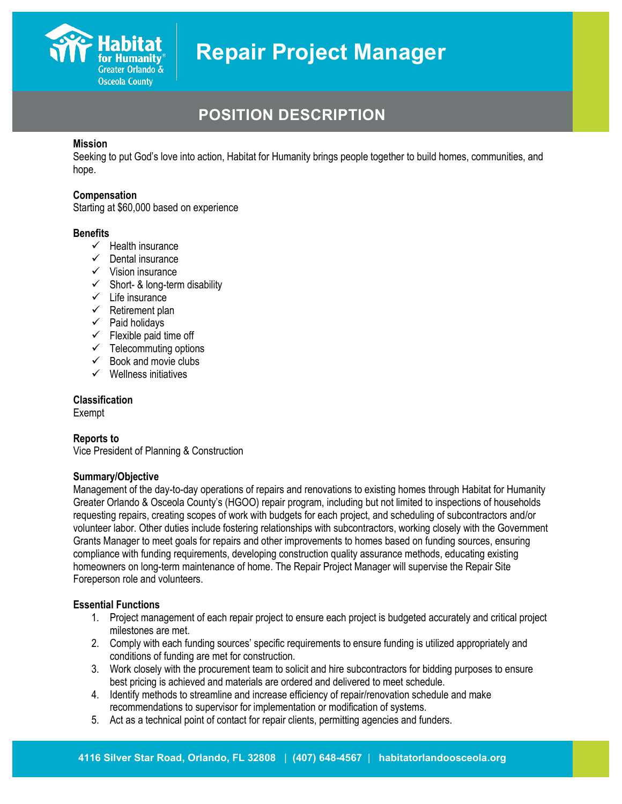

## **POSITION DESCRIPTION**

#### **Mission**

Seeking to put God's love into action, Habitat for Humanity brings people together to build homes, communities, and hope.

#### **Compensation**

Starting at \$60,000 based on experience

#### **Benefits**

- $\checkmark$  Health insurance
- $\checkmark$  Dental insurance
- $\checkmark$  Vision insurance
- $\checkmark$  Short- & long-term disability
- $\checkmark$  Life insurance
- $\checkmark$  Retirement plan
- $\checkmark$  Paid holidays
- $\checkmark$  Flexible paid time off
- $\checkmark$  Telecommuting options
- $\checkmark$  Book and movie clubs
- $\checkmark$  Wellness initiatives

#### **Classification**

Exempt

#### **Reports to**

Vice President of Planning & Construction

#### **Summary/Objective**

Management of the day-to-day operations of repairs and renovations to existing homes through Habitat for Humanity Greater Orlando & Osceola County's (HGOO) repair program, including but not limited to inspections of households requesting repairs, creating scopes of work with budgets for each project, and scheduling of subcontractors and/or volunteer labor. Other duties include fostering relationships with subcontractors, working closely with the Government Grants Manager to meet goals for repairs and other improvements to homes based on funding sources, ensuring compliance with funding requirements, developing construction quality assurance methods, educating existing homeowners on long-term maintenance of home. The Repair Project Manager will supervise the Repair Site Foreperson role and volunteers.

#### **Essential Functions**

- 1. Project management of each repair project to ensure each project is budgeted accurately and critical project milestones are met.
- 2. Comply with each funding sources' specific requirements to ensure funding is utilized appropriately and conditions of funding are met for construction.
- 3. Work closely with the procurement team to solicit and hire subcontractors for bidding purposes to ensure best pricing is achieved and materials are ordered and delivered to meet schedule.
- 4. Identify methods to streamline and increase efficiency of repair/renovation schedule and make recommendations to supervisor for implementation or modification of systems.
- 5. Act as a technical point of contact for repair clients, permitting agencies and funders.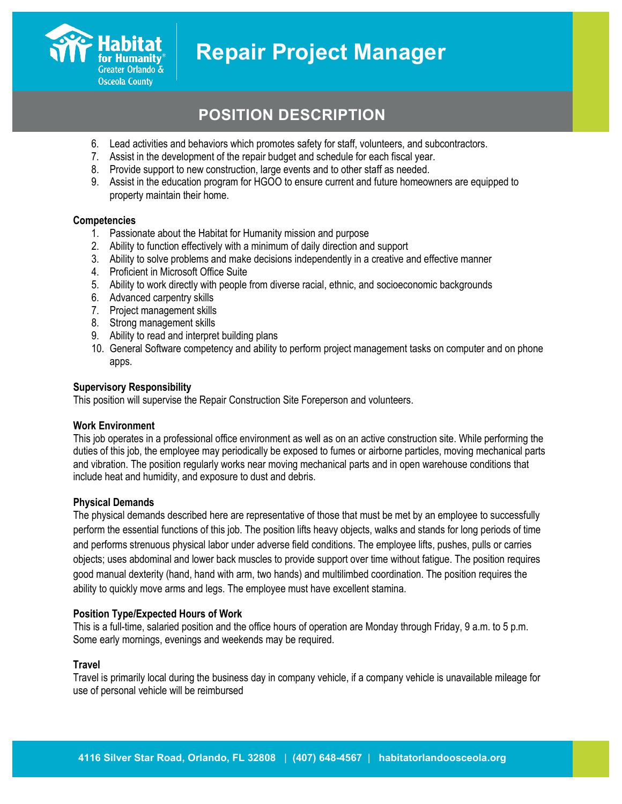### **POSITION DESCRIPTION**

- 6. Lead activities and behaviors which promotes safety for staff, volunteers, and subcontractors.
- 7. Assist in the development of the repair budget and schedule for each fiscal year.
- 8. Provide support to new construction, large events and to other staff as needed.
- 9. Assist in the education program for HGOO to ensure current and future homeowners are equipped to property maintain their home.

#### **Competencies**

Greater Orlando & **Osceola County** 

- 1. Passionate about the Habitat for Humanity mission and purpose
- 2. Ability to function effectively with a minimum of daily direction and support
- 3. Ability to solve problems and make decisions independently in a creative and effective manner
- 4. Proficient in Microsoft Office Suite
- 5. Ability to work directly with people from diverse racial, ethnic, and socioeconomic backgrounds
- 6. Advanced carpentry skills
- 7. Project management skills
- 8. Strong management skills
- 9. Ability to read and interpret building plans
- 10. General Software competency and ability to perform project management tasks on computer and on phone apps.

#### **Supervisory Responsibility**

This position will supervise the Repair Construction Site Foreperson and volunteers.

#### **Work Environment**

This job operates in a professional office environment as well as on an active construction site. While performing the duties of this job, the employee may periodically be exposed to fumes or airborne particles, moving mechanical parts and vibration. The position regularly works near moving mechanical parts and in open warehouse conditions that include heat and humidity, and exposure to dust and debris.

#### **Physical Demands**

The physical demands described here are representative of those that must be met by an employee to successfully perform the essential functions of this job. The position lifts heavy objects, walks and stands for long periods of time and performs strenuous physical labor under adverse field conditions. The employee lifts, pushes, pulls or carries objects; uses abdominal and lower back muscles to provide support over time without fatigue. The position requires good manual dexterity (hand, hand with arm, two hands) and multilimbed coordination. The position requires the ability to quickly move arms and legs. The employee must have excellent stamina.

#### **Position Type/Expected Hours of Work**

This is a full-time, salaried position and the office hours of operation are Monday through Friday, 9 a.m. to 5 p.m. Some early mornings, evenings and weekends may be required.

#### **Travel**

Travel is primarily local during the business day in company vehicle, if a company vehicle is unavailable mileage for use of personal vehicle will be reimbursed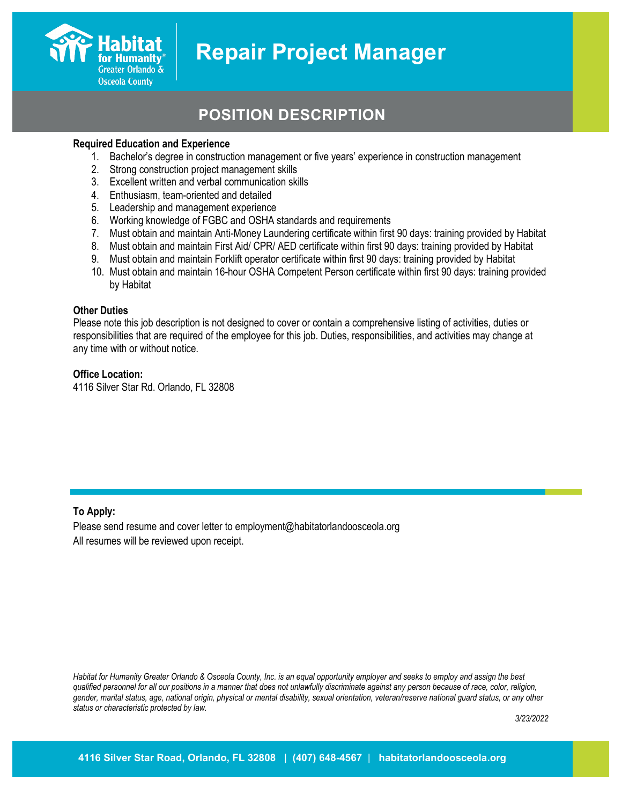## **POSITION DESCRIPTION**

#### **Required Education and Experience**

Greater Orlando & **Osceola County** 

- 1. Bachelor's degree in construction management or five years' experience in construction management
- 2. Strong construction project management skills
- 3. Excellent written and verbal communication skills
- 4. Enthusiasm, team-oriented and detailed
- 5. Leadership and management experience
- 6. Working knowledge of FGBC and OSHA standards and requirements
- 7. Must obtain and maintain Anti-Money Laundering certificate within first 90 days: training provided by Habitat
- 8. Must obtain and maintain First Aid/ CPR/ AED certificate within first 90 days: training provided by Habitat
- 9. Must obtain and maintain Forklift operator certificate within first 90 days: training provided by Habitat
- 10. Must obtain and maintain 16-hour OSHA Competent Person certificate within first 90 days: training provided by Habitat

#### **Other Duties**

Please note this job description is not designed to cover or contain a comprehensive listing of activities, duties or responsibilities that are required of the employee for this job. Duties, responsibilities, and activities may change at any time with or without notice.

#### **Office Location:**

4116 Silver Star Rd. Orlando, FL 32808

#### **To Apply:**

Please send resume and cover letter to employment@habitatorlandoosceola.org All resumes will be reviewed upon receipt.

*Habitat for Humanity Greater Orlando & Osceola County, Inc. is an equal opportunity employer and seeks to employ and assign the best qualified personnel for all our positions in a manner that does not unlawfully discriminate against any person because of race, color, religion, gender, marital status, age, national origin, physical or mental disability, sexual orientation, veteran/reserve national guard status, or any other status or characteristic protected by law.*

*3/23/2022*